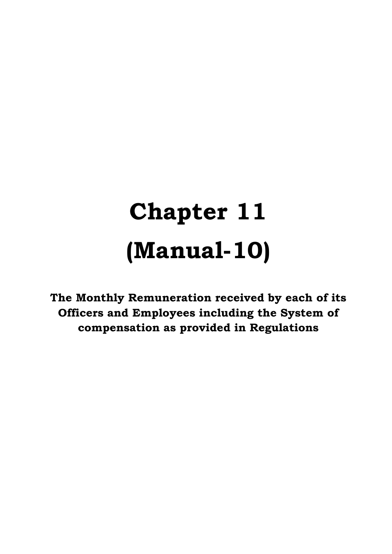## **Chapter 11 (Manual-10)**

**The Monthly Remuneration received by each of its Officers and Employees including the System of compensation as provided in Regulations**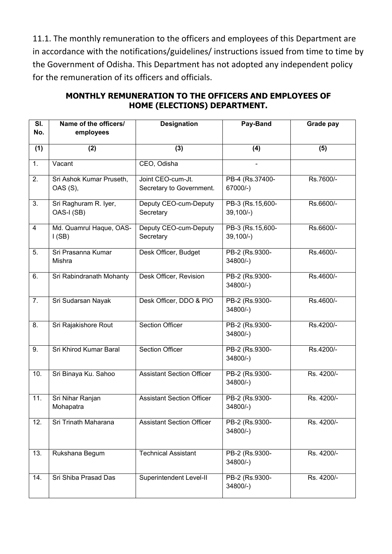11.1. The monthly remuneration to the officers and employees of this Department are in accordance with the notifications/guidelines/ instructions issued from time to time by the Government of Odisha. This Department has not adopted any independent policy for the remuneration of its officers and officials.

| $\overline{\mathsf{SI}.}$ | Name of the officers/                | <b>Designation</b>                            | Pay-Band                       | Grade pay  |
|---------------------------|--------------------------------------|-----------------------------------------------|--------------------------------|------------|
| No.                       | employees                            |                                               |                                |            |
| (1)                       | (2)                                  | (3)                                           | (4)                            | (5)        |
| 1.                        | Vacant                               | CEO, Odisha                                   |                                |            |
| $\overline{2}$ .          | Sri Ashok Kumar Pruseth,<br>OAS (S), | Joint CEO-cum-Jt.<br>Secretary to Government. | PB-4 (Rs.37400-<br>67000/-)    | Rs.7600/-  |
| 3.                        | Sri Raghuram R. Iyer,<br>OAS-I (SB)  | Deputy CEO-cum-Deputy<br>Secretary            | PB-3 (Rs.15,600-<br>$39,100/-$ | Rs.6600/-  |
| $\overline{4}$            | Md. Quamrul Haque, OAS-<br>I(SB)     | Deputy CEO-cum-Deputy<br>Secretary            | PB-3 (Rs.15,600-<br>$39,100/-$ | Rs.6600/-  |
| 5.                        | Sri Prasanna Kumar<br>Mishra         | Desk Officer, Budget                          | PB-2 (Rs.9300-<br>$34800/-$    | Rs.4600/-  |
| 6.                        | Sri Rabindranath Mohanty             | Desk Officer, Revision                        | PB-2 (Rs.9300-<br>$34800/-$    | Rs.4600/-  |
| 7.                        | Sri Sudarsan Nayak                   | Desk Officer, DDO & PIO                       | PB-2 (Rs.9300-<br>$34800/-$    | Rs.4600/-  |
| 8.                        | Sri Rajakishore Rout                 | <b>Section Officer</b>                        | PB-2 (Rs.9300-<br>$34800/-$    | Rs.4200/-  |
| 9.                        | Sri Khirod Kumar Baral               | <b>Section Officer</b>                        | PB-2 (Rs.9300-<br>$34800/-$    | Rs.4200/-  |
| 10.                       | Sri Binaya Ku. Sahoo                 | <b>Assistant Section Officer</b>              | PB-2 (Rs.9300-<br>$34800/-$    | Rs. 4200/- |
| 11.                       | Sri Nihar Ranjan<br>Mohapatra        | <b>Assistant Section Officer</b>              | PB-2 (Rs.9300-<br>34800/-)     | Rs. 4200/- |
| 12.                       | Sri Trinath Maharana                 | <b>Assistant Section Officer</b>              | PB-2 (Rs.9300-<br>$34800/-$ )  | Rs. 4200/- |
| 13.                       | Rukshana Begum                       | <b>Technical Assistant</b>                    | PB-2 (Rs.9300-<br>$34800/-$ )  | Rs. 4200/- |
| 14.                       | Sri Shiba Prasad Das                 | Superintendent Level-II                       | PB-2 (Rs.9300-<br>$34800/-$ )  | Rs. 4200/- |

## **MONTHLY REMUNERATION TO THE OFFICERS AND EMPLOYEES OF HOME (ELECTIONS) DEPARTMENT.**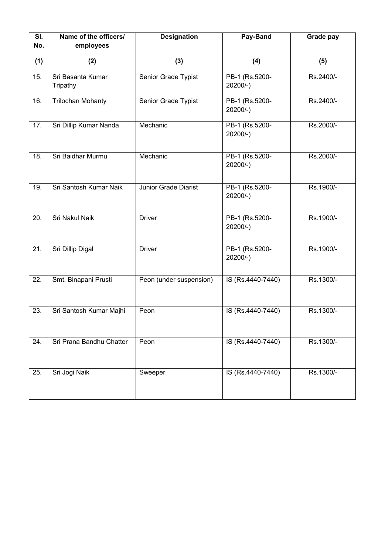| $\overline{\mathsf{SI}.}$<br>No. | Name of the officers/<br>employees | <b>Designation</b>      | Pay-Band                      | Grade pay |
|----------------------------------|------------------------------------|-------------------------|-------------------------------|-----------|
|                                  |                                    |                         |                               |           |
| (1)                              | (2)                                | (3)                     | (4)                           | (5)       |
| 15.                              | Sri Basanta Kumar<br>Tripathy      | Senior Grade Typist     | PB-1 (Rs.5200-<br>$20200/-$ ) | Rs.2400/- |
| 16.                              | <b>Trilochan Mohanty</b>           | Senior Grade Typist     | PB-1 (Rs.5200-<br>$20200/-$   | Rs.2400/- |
| 17.                              | Sri Dillip Kumar Nanda             | Mechanic                | PB-1 (Rs.5200-<br>$20200/-$ ) | Rs.2000/- |
| 18.                              | Sri Baidhar Murmu                  | Mechanic                | PB-1 (Rs.5200-<br>$20200/-$ ) | Rs.2000/- |
| 19.                              | Sri Santosh Kumar Naik             | Junior Grade Diarist    | PB-1 (Rs.5200-<br>$20200/-$ ) | Rs.1900/- |
| 20.                              | Sri Nakul Naik                     | <b>Driver</b>           | PB-1 (Rs.5200-<br>$20200/-$   | Rs.1900/- |
| $\overline{21}$ .                | <b>Sri Dillip Digal</b>            | <b>Driver</b>           | PB-1 (Rs.5200-<br>$20200/-$   | Rs.1900/- |
| 22.                              | Smt. Binapani Prusti               | Peon (under suspension) | IS (Rs.4440-7440)             | Rs.1300/- |
| 23.                              | Sri Santosh Kumar Majhi            | Peon                    | IS (Rs.4440-7440)             | Rs.1300/- |
| 24.                              | Sri Prana Bandhu Chatter           | Peon                    | IS (Rs.4440-7440)             | Rs.1300/- |
| 25.                              | Sri Jogi Naik                      | Sweeper                 | IS (Rs.4440-7440)             | Rs.1300/- |